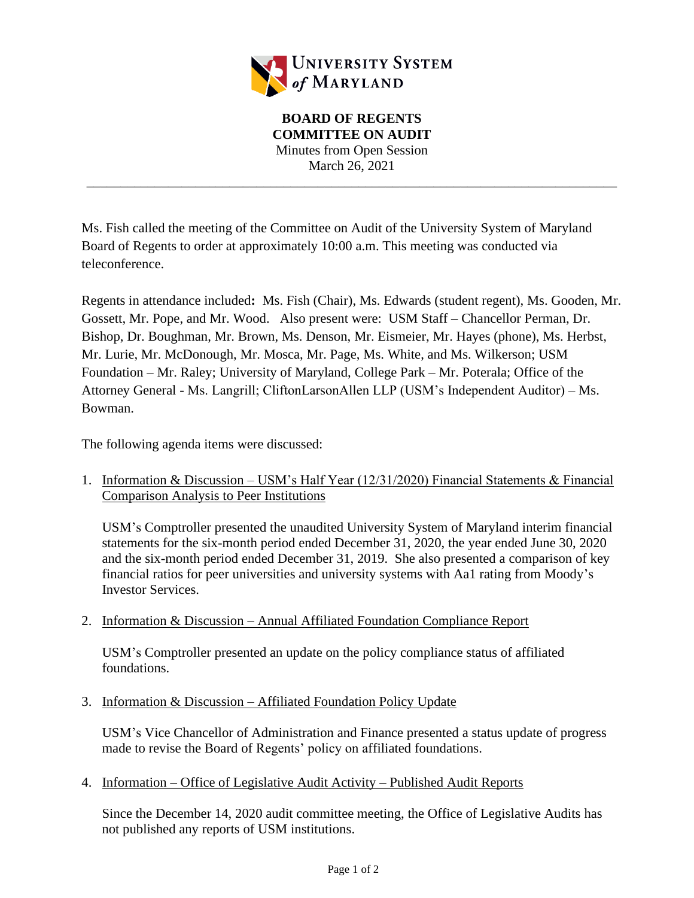

**BOARD OF REGENTS COMMITTEE ON AUDIT** Minutes from Open Session March 26, 2021

\_\_\_\_\_\_\_\_\_\_\_\_\_\_\_\_\_\_\_\_\_\_\_\_\_\_\_\_\_\_\_\_\_\_\_\_\_\_\_\_\_\_\_\_\_\_\_\_\_\_\_\_\_\_\_\_\_\_\_\_\_\_\_\_\_\_\_\_\_\_\_\_\_\_\_\_\_\_

Ms. Fish called the meeting of the Committee on Audit of the University System of Maryland Board of Regents to order at approximately 10:00 a.m. This meeting was conducted via teleconference.

Regents in attendance included**:** Ms. Fish (Chair), Ms. Edwards (student regent), Ms. Gooden, Mr. Gossett, Mr. Pope, and Mr. Wood. Also present were: USM Staff – Chancellor Perman, Dr. Bishop, Dr. Boughman, Mr. Brown, Ms. Denson, Mr. Eismeier, Mr. Hayes (phone), Ms. Herbst, Mr. Lurie, Mr. McDonough, Mr. Mosca, Mr. Page, Ms. White, and Ms. Wilkerson; USM Foundation – Mr. Raley; University of Maryland, College Park – Mr. Poterala; Office of the Attorney General - Ms. Langrill; CliftonLarsonAllen LLP (USM's Independent Auditor) – Ms. Bowman.

The following agenda items were discussed:

1. Information & Discussion – USM's Half Year (12/31/2020) Financial Statements & Financial Comparison Analysis to Peer Institutions

USM's Comptroller presented the unaudited University System of Maryland interim financial statements for the six-month period ended December 31, 2020, the year ended June 30, 2020 and the six-month period ended December 31, 2019. She also presented a comparison of key financial ratios for peer universities and university systems with Aa1 rating from Moody's Investor Services.

2. Information & Discussion – Annual Affiliated Foundation Compliance Report

USM's Comptroller presented an update on the policy compliance status of affiliated foundations.

3. Information & Discussion – Affiliated Foundation Policy Update

USM's Vice Chancellor of Administration and Finance presented a status update of progress made to revise the Board of Regents' policy on affiliated foundations.

4. Information – Office of Legislative Audit Activity – Published Audit Reports

Since the December 14, 2020 audit committee meeting, the Office of Legislative Audits has not published any reports of USM institutions.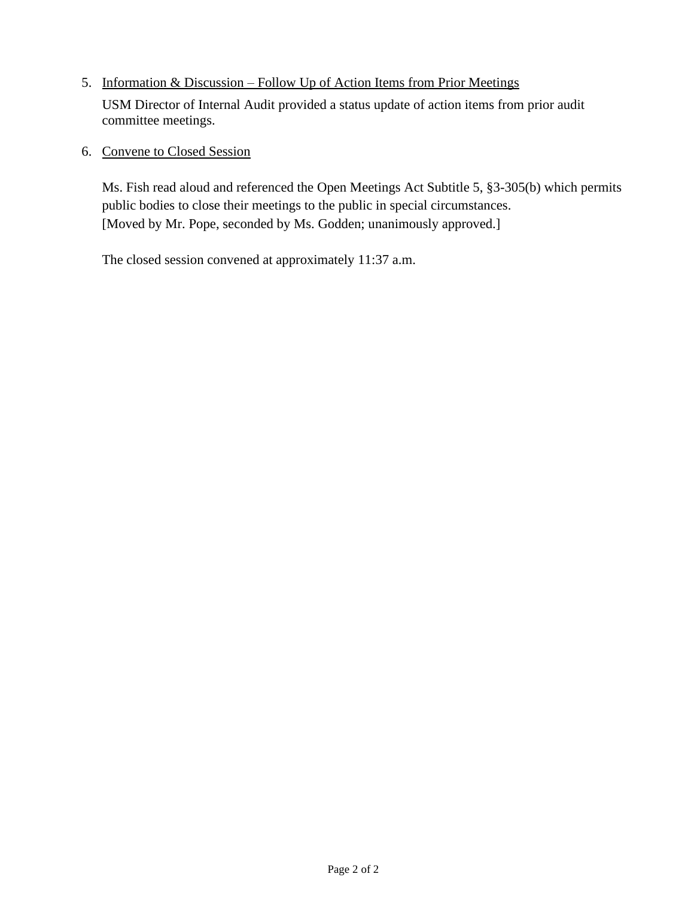## 5. Information & Discussion – Follow Up of Action Items from Prior Meetings

USM Director of Internal Audit provided a status update of action items from prior audit committee meetings.

## 6. Convene to Closed Session

Ms. Fish read aloud and referenced the Open Meetings Act Subtitle 5, §3-305(b) which permits public bodies to close their meetings to the public in special circumstances. [Moved by Mr. Pope, seconded by Ms. Godden; unanimously approved.]

The closed session convened at approximately 11:37 a.m.